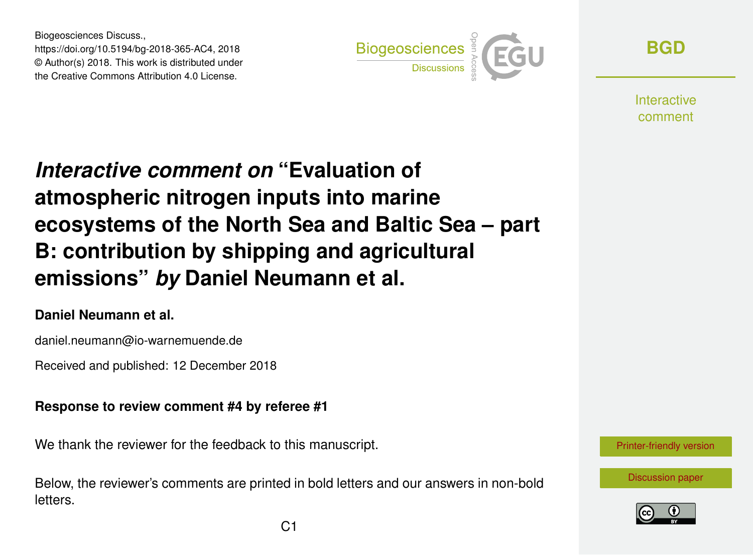Biogeosciences Discuss., https://doi.org/10.5194/bg-2018-365-AC4, 2018 © Author(s) 2018. This work is distributed under the Creative Commons Attribution 4.0 License.



**[BGD](https://www.biogeosciences-discuss.net/)**

**Interactive** comment

# *Interactive comment on* **"Evaluation of atmospheric nitrogen inputs into marine ecosystems of the North Sea and Baltic Sea – part B: contribution by shipping and agricultural emissions"** *by* **Daniel Neumann et al.**

### **Daniel Neumann et al.**

daniel.neumann@io-warnemuende.de

Received and published: 12 December 2018

### **Response to review comment #4 by referee #1**

We thank the reviewer for the feedback to this manuscript.

Below, the reviewer's comments are printed in bold letters and our answers in non-bold letters.



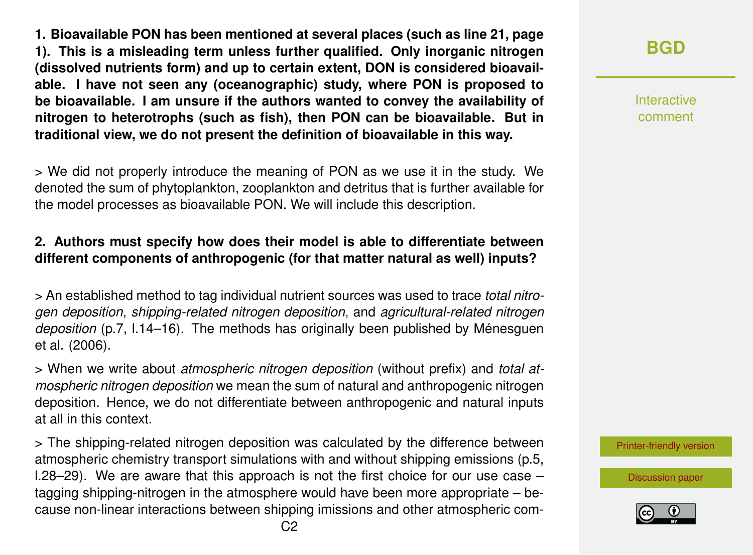**1. Bioavailable PON has been mentioned at several places (such as line 21, page 1). This is a misleading term unless further qualified. Only inorganic nitrogen (dissolved nutrients form) and up to certain extent, DON is considered bioavailable. I have not seen any (oceanographic) study, where PON is proposed to be bioavailable. I am unsure if the authors wanted to convey the availability of nitrogen to heterotrophs (such as fish), then PON can be bioavailable. But in traditional view, we do not present the definition of bioavailable in this way.**

> We did not properly introduce the meaning of PON as we use it in the study. We denoted the sum of phytoplankton, zooplankton and detritus that is further available for the model processes as bioavailable PON. We will include this description.

#### **2. Authors must specify how does their model is able to differentiate between different components of anthropogenic (for that matter natural as well) inputs?**

> An established method to tag individual nutrient sources was used to trace *total nitrogen deposition*, *shipping-related nitrogen deposition*, and *agricultural-related nitrogen deposition* (p.7, l.14–16). The methods has originally been published by Ménesguen et al. (2006).

> When we write about *atmospheric nitrogen deposition* (without prefix) and *total atmospheric nitrogen deposition* we mean the sum of natural and anthropogenic nitrogen deposition. Hence, we do not differentiate between anthropogenic and natural inputs at all in this context.

> The shipping-related nitrogen deposition was calculated by the difference between atmospheric chemistry transport simulations with and without shipping emissions (p.5, l.28–29). We are aware that this approach is not the first choice for our use case – tagging shipping-nitrogen in the atmosphere would have been more appropriate – because non-linear interactions between shipping imissions and other atmospheric com-

## **[BGD](https://www.biogeosciences-discuss.net/)**

Interactive comment

[Printer-friendly version](https://www.biogeosciences-discuss.net/bg-2018-365/bg-2018-365-AC4-print.pdf)

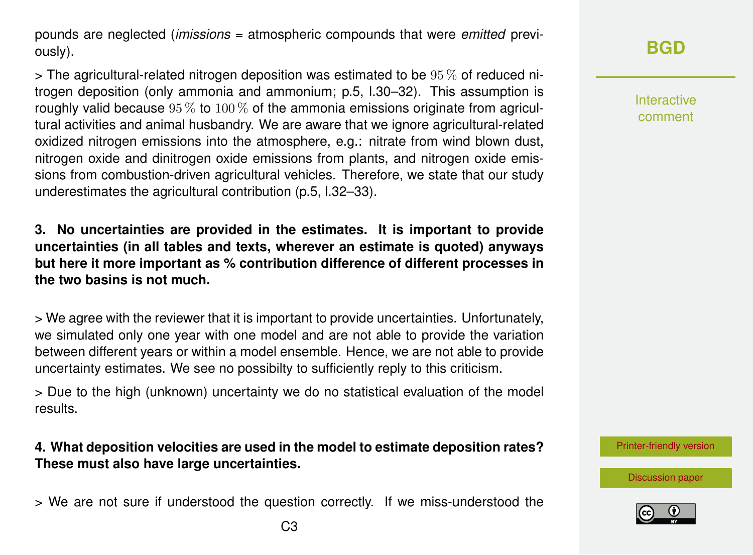pounds are neglected (*imissions* = atmospheric compounds that were *emitted* previously).

 $>$  The agricultural-related nitrogen deposition was estimated to be 95  $\%$  of reduced nitrogen deposition (only ammonia and ammonium; p.5, l.30–32). This assumption is roughly valid because  $95\%$  to  $100\%$  of the ammonia emissions originate from agricultural activities and animal husbandry. We are aware that we ignore agricultural-related oxidized nitrogen emissions into the atmosphere, e.g.: nitrate from wind blown dust, nitrogen oxide and dinitrogen oxide emissions from plants, and nitrogen oxide emissions from combustion-driven agricultural vehicles. Therefore, we state that our study underestimates the agricultural contribution (p.5, l.32–33).

**3. No uncertainties are provided in the estimates. It is important to provide uncertainties (in all tables and texts, wherever an estimate is quoted) anyways but here it more important as % contribution difference of different processes in the two basins is not much.**

> We agree with the reviewer that it is important to provide uncertainties. Unfortunately, we simulated only one year with one model and are not able to provide the variation between different years or within a model ensemble. Hence, we are not able to provide uncertainty estimates. We see no possibilty to sufficiently reply to this criticism.

> Due to the high (unknown) uncertainty we do no statistical evaluation of the model results.

**4. What deposition velocities are used in the model to estimate deposition rates? These must also have large uncertainties.**

> We are not sure if understood the question correctly. If we miss-understood the

Interactive comment

[Printer-friendly version](https://www.biogeosciences-discuss.net/bg-2018-365/bg-2018-365-AC4-print.pdf)

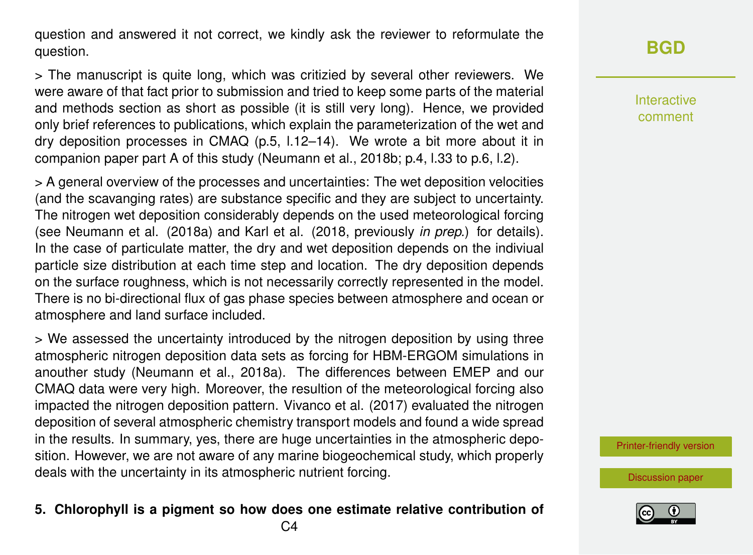question and answered it not correct, we kindly ask the reviewer to reformulate the question.

> The manuscript is quite long, which was critizied by several other reviewers. We were aware of that fact prior to submission and tried to keep some parts of the material and methods section as short as possible (it is still very long). Hence, we provided only brief references to publications, which explain the parameterization of the wet and dry deposition processes in CMAQ (p.5, l.12–14). We wrote a bit more about it in companion paper part A of this study (Neumann et al., 2018b; p.4, l.33 to p.6, l.2).

> A general overview of the processes and uncertainties: The wet deposition velocities (and the scavanging rates) are substance specific and they are subject to uncertainty. The nitrogen wet deposition considerably depends on the used meteorological forcing (see Neumann et al. (2018a) and Karl et al. (2018, previously *in prep.*) for details). In the case of particulate matter, the dry and wet deposition depends on the indiviual particle size distribution at each time step and location. The dry deposition depends on the surface roughness, which is not necessarily correctly represented in the model. There is no bi-directional flux of gas phase species between atmosphere and ocean or atmosphere and land surface included.

> We assessed the uncertainty introduced by the nitrogen deposition by using three atmospheric nitrogen deposition data sets as forcing for HBM-ERGOM simulations in anouther study (Neumann et al., 2018a). The differences between EMEP and our CMAQ data were very high. Moreover, the resultion of the meteorological forcing also impacted the nitrogen deposition pattern. Vivanco et al. (2017) evaluated the nitrogen deposition of several atmospheric chemistry transport models and found a wide spread in the results. In summary, yes, there are huge uncertainties in the atmospheric deposition. However, we are not aware of any marine biogeochemical study, which properly deals with the uncertainty in its atmospheric nutrient forcing.

### **5. Chlorophyll is a pigment so how does one estimate relative contribution of**

Interactive comment

[Printer-friendly version](https://www.biogeosciences-discuss.net/bg-2018-365/bg-2018-365-AC4-print.pdf)

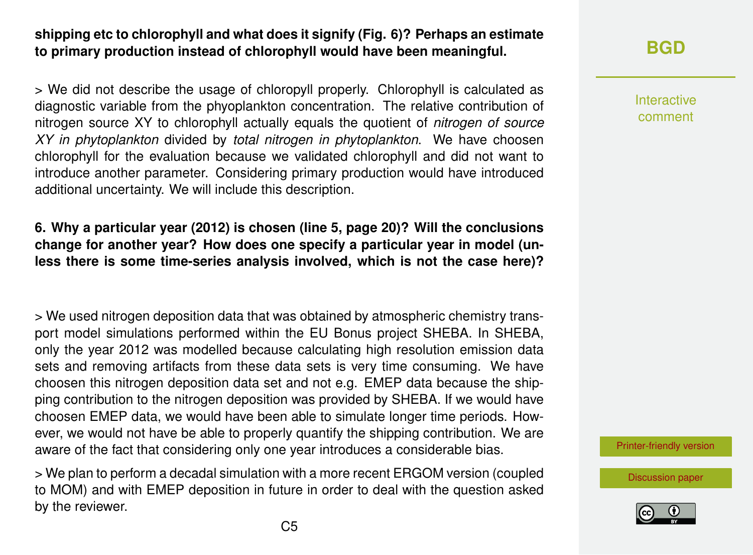### **shipping etc to chlorophyll and what does it signify (Fig. 6)? Perhaps an estimate to primary production instead of chlorophyll would have been meaningful.**

> We did not describe the usage of chloropyll properly. Chlorophyll is calculated as diagnostic variable from the phyoplankton concentration. The relative contribution of nitrogen source XY to chlorophyll actually equals the quotient of *nitrogen of source XY in phytoplankton* divided by *total nitrogen in phytoplankton*. We have choosen chlorophyll for the evaluation because we validated chlorophyll and did not want to introduce another parameter. Considering primary production would have introduced additional uncertainty. We will include this description.

**6. Why a particular year (2012) is chosen (line 5, page 20)? Will the conclusions change for another year? How does one specify a particular year in model (unless there is some time-series analysis involved, which is not the case here)?**

> We used nitrogen deposition data that was obtained by atmospheric chemistry transport model simulations performed within the EU Bonus project SHEBA. In SHEBA, only the year 2012 was modelled because calculating high resolution emission data sets and removing artifacts from these data sets is very time consuming. We have choosen this nitrogen deposition data set and not e.g. EMEP data because the shipping contribution to the nitrogen deposition was provided by SHEBA. If we would have choosen EMEP data, we would have been able to simulate longer time periods. However, we would not have be able to properly quantify the shipping contribution. We are aware of the fact that considering only one year introduces a considerable bias.

> We plan to perform a decadal simulation with a more recent ERGOM version (coupled to MOM) and with EMEP deposition in future in order to deal with the question asked by the reviewer.

**[BGD](https://www.biogeosciences-discuss.net/)**

Interactive comment

[Printer-friendly version](https://www.biogeosciences-discuss.net/bg-2018-365/bg-2018-365-AC4-print.pdf)